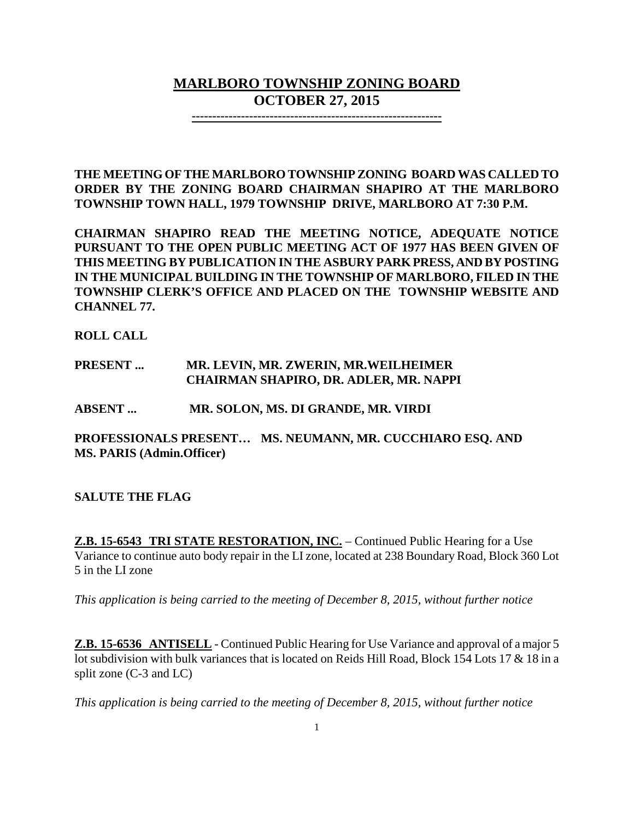# **MARLBORO TOWNSHIP ZONING BOARD OCTOBER 27, 2015**

**-------------------------------------------------------------**

**THE MEETING OF THE MARLBORO TOWNSHIP ZONING BOARD WAS CALLED TO ORDER BY THE ZONING BOARD CHAIRMAN SHAPIRO AT THE MARLBORO TOWNSHIP TOWN HALL, 1979 TOWNSHIP DRIVE, MARLBORO AT 7:30 P.M.**

**CHAIRMAN SHAPIRO READ THE MEETING NOTICE, ADEQUATE NOTICE PURSUANT TO THE OPEN PUBLIC MEETING ACT OF 1977 HAS BEEN GIVEN OF THIS MEETING BY PUBLICATION IN THE ASBURY PARK PRESS, AND BY POSTING IN THE MUNICIPAL BUILDING IN THE TOWNSHIP OF MARLBORO, FILED IN THE TOWNSHIP CLERK'S OFFICE AND PLACED ON THE TOWNSHIP WEBSITE AND CHANNEL 77.**

**ROLL CALL**

## **PRESENT ... MR. LEVIN, MR. ZWERIN, MR.WEILHEIMER CHAIRMAN SHAPIRO, DR. ADLER, MR. NAPPI**

**ABSENT ... MR. SOLON, MS. DI GRANDE, MR. VIRDI**

**PROFESSIONALS PRESENT… MS. NEUMANN, MR. CUCCHIARO ESQ. AND MS. PARIS (Admin.Officer)**

**SALUTE THE FLAG**

**Z.B. 15-6543 TRI STATE RESTORATION, INC.** – Continued Public Hearing for a Use Variance to continue auto body repair in the LI zone, located at 238 Boundary Road, Block 360 Lot 5 in the LI zone

*This application is being carried to the meeting of December 8, 2015, without further notice* 

**Z.B. 15-6536 ANTISELL** - Continued Public Hearing for Use Variance and approval of a major 5 lot subdivision with bulk variances that is located on Reids Hill Road, Block 154 Lots 17 & 18 in a split zone (C-3 and LC)

*This application is being carried to the meeting of December 8, 2015, without further notice*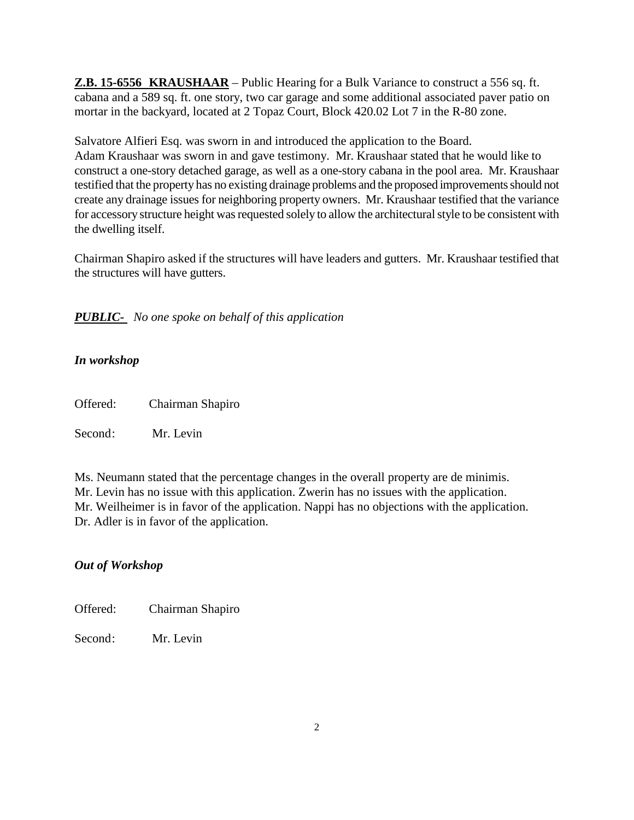**Z.B. 15-6556 KRAUSHAAR** – Public Hearing for a Bulk Variance to construct a 556 sq. ft. cabana and a 589 sq. ft. one story, two car garage and some additional associated paver patio on mortar in the backyard, located at 2 Topaz Court, Block 420.02 Lot 7 in the R-80 zone.

Salvatore Alfieri Esq. was sworn in and introduced the application to the Board. Adam Kraushaar was sworn in and gave testimony. Mr. Kraushaar stated that he would like to construct a one-story detached garage, as well as a one-story cabana in the pool area. Mr. Kraushaar testified that the property has no existing drainage problems and the proposed improvements should not create any drainage issues for neighboring property owners. Mr. Kraushaar testified that the variance for accessory structure height was requested solely to allow the architectural style to be consistent with the dwelling itself.

Chairman Shapiro asked if the structures will have leaders and gutters. Mr. Kraushaar testified that the structures will have gutters.

*PUBLIC- No one spoke on behalf of this application*

# *In workshop*

Offered: Chairman Shapiro

Second: Mr. Levin

Ms. Neumann stated that the percentage changes in the overall property are de minimis. Mr. Levin has no issue with this application. Zwerin has no issues with the application. Mr. Weilheimer is in favor of the application. Nappi has no objections with the application. Dr. Adler is in favor of the application.

# *Out of Workshop*

Offered: Chairman Shapiro

Second: Mr. Levin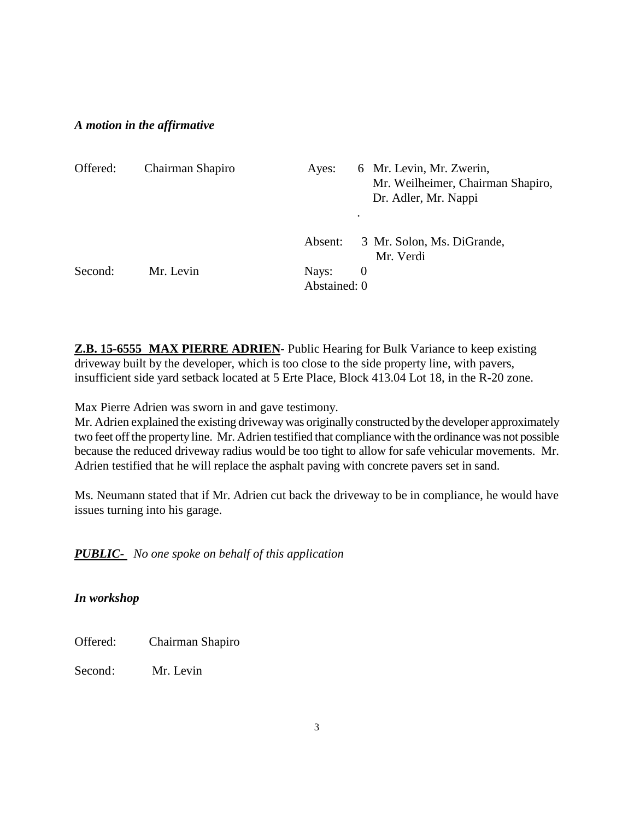## *A motion in the affirmative*

| Offered: | Chairman Shapiro | 6 Mr. Levin, Mr. Zwerin,<br>Ayes:<br>Mr. Weilheimer, Chairman Shapiro,<br>Dr. Adler, Mr. Nappi<br>٠ |
|----------|------------------|-----------------------------------------------------------------------------------------------------|
|          |                  | 3 Mr. Solon, Ms. DiGrande,<br>Absent:<br>Mr. Verdi                                                  |
| Second:  | Mr. Levin        | Nays:<br>$\theta$                                                                                   |
|          |                  | Abstained: 0                                                                                        |

**Z.B. 15-6555 MAX PIERRE ADRIEN**- Public Hearing for Bulk Variance to keep existing driveway built by the developer, which is too close to the side property line, with pavers, insufficient side yard setback located at 5 Erte Place, Block 413.04 Lot 18, in the R-20 zone.

Max Pierre Adrien was sworn in and gave testimony.

Mr. Adrien explained the existing driveway was originally constructed by the developer approximately two feet off the property line. Mr. Adrien testified that compliance with the ordinance was not possible because the reduced driveway radius would be too tight to allow for safe vehicular movements. Mr. Adrien testified that he will replace the asphalt paving with concrete pavers set in sand.

Ms. Neumann stated that if Mr. Adrien cut back the driveway to be in compliance, he would have issues turning into his garage.

*PUBLIC- No one spoke on behalf of this application*

*In workshop*

Offered: Chairman Shapiro

Second: Mr. Levin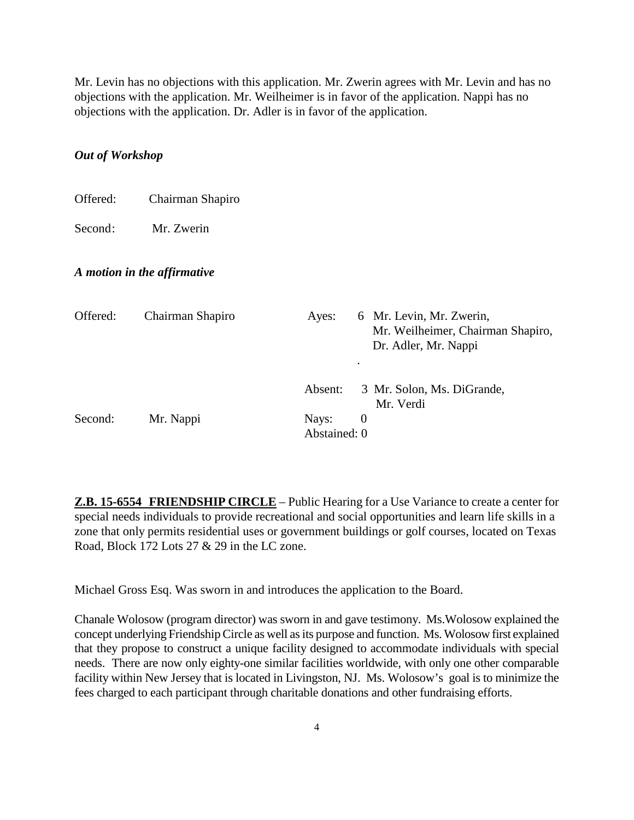Mr. Levin has no objections with this application. Mr. Zwerin agrees with Mr. Levin and has no objections with the application. Mr. Weilheimer is in favor of the application. Nappi has no objections with the application. Dr. Adler is in favor of the application.

## *Out of Workshop*

| Offered: | Chairman Shapiro            |                       |          |                                                                                       |
|----------|-----------------------------|-----------------------|----------|---------------------------------------------------------------------------------------|
| Second:  | Mr. Zwerin                  |                       |          |                                                                                       |
|          | A motion in the affirmative |                       |          |                                                                                       |
| Offered: | Chairman Shapiro            | Ayes:                 |          | 6 Mr. Levin, Mr. Zwerin,<br>Mr. Weilheimer, Chairman Shapiro,<br>Dr. Adler, Mr. Nappi |
|          |                             | Absent:               |          | 3 Mr. Solon, Ms. DiGrande,<br>Mr. Verdi                                               |
| Second:  | Mr. Nappi                   | Nays:<br>Abstained: 0 | $\theta$ |                                                                                       |

**Z.B. 15-6554 FRIENDSHIP CIRCLE** – Public Hearing for a Use Variance to create a center for special needs individuals to provide recreational and social opportunities and learn life skills in a zone that only permits residential uses or government buildings or golf courses, located on Texas Road, Block 172 Lots 27 & 29 in the LC zone.

Michael Gross Esq. Was sworn in and introduces the application to the Board.

Chanale Wolosow (program director) was sworn in and gave testimony. Ms.Wolosow explained the concept underlying Friendship Circle as well as its purpose and function. Ms. Wolosow first explained that they propose to construct a unique facility designed to accommodate individuals with special needs. There are now only eighty-one similar facilities worldwide, with only one other comparable facility within New Jersey that is located in Livingston, NJ. Ms. Wolosow's goal is to minimize the fees charged to each participant through charitable donations and other fundraising efforts.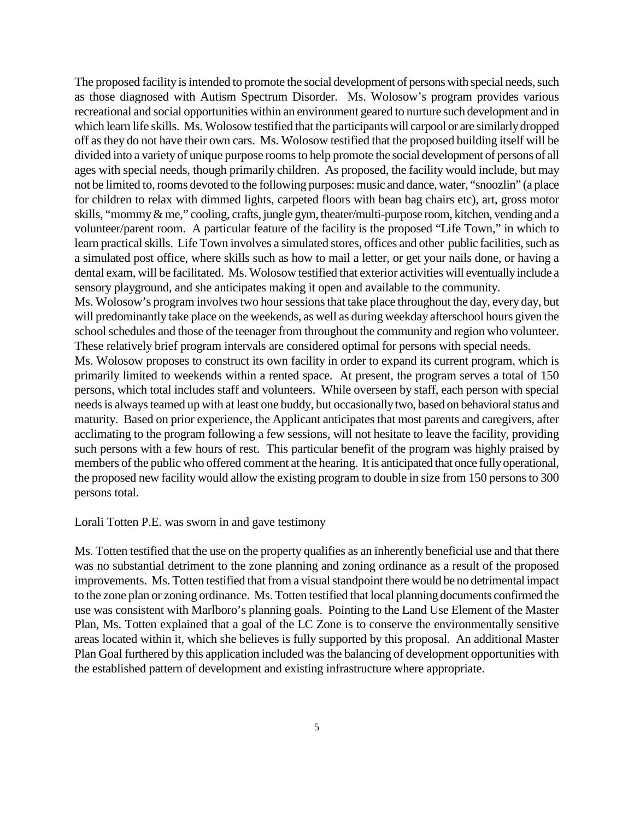The proposed facility is intended to promote the social development of persons with special needs, such as those diagnosed with Autism Spectrum Disorder. Ms. Wolosow's program provides various recreational and social opportunities within an environment geared to nurture such development and in which learn life skills. Ms. Wolosow testified that the participants will carpool or are similarly dropped off as they do not have their own cars. Ms. Wolosow testified that the proposed building itself will be divided into a variety of unique purpose rooms to help promote the social development of persons of all ages with special needs, though primarily children. As proposed, the facility would include, but may not be limited to, rooms devoted to the following purposes: music and dance, water, "snoozlin" (a place for children to relax with dimmed lights, carpeted floors with bean bag chairs etc), art, gross motor skills, "mommy & me," cooling, crafts, jungle gym, theater/multi-purpose room, kitchen, vending and a volunteer/parent room. A particular feature of the facility is the proposed "Life Town," in which to learn practical skills. Life Town involves a simulated stores, offices and other public facilities, such as a simulated post office, where skills such as how to mail a letter, or get your nails done, or having a dental exam, will be facilitated. Ms. Wolosow testified that exterior activities will eventually include a sensory playground, and she anticipates making it open and available to the community.

Ms. Wolosow's program involves two hour sessions that take place throughout the day, every day, but will predominantly take place on the weekends, as well as during weekday afterschool hours given the school schedules and those of the teenager from throughout the community and region who volunteer. These relatively brief program intervals are considered optimal for persons with special needs.

Ms. Wolosow proposes to construct its own facility in order to expand its current program, which is primarily limited to weekends within a rented space. At present, the program serves a total of 150 persons, which total includes staff and volunteers. While overseen by staff, each person with special needs is always teamed up with at least one buddy, but occasionally two, based on behavioral status and maturity. Based on prior experience, the Applicant anticipates that most parents and caregivers, after acclimating to the program following a few sessions, will not hesitate to leave the facility, providing such persons with a few hours of rest. This particular benefit of the program was highly praised by members of the public who offered comment at the hearing. It is anticipated that once fully operational, the proposed new facility would allow the existing program to double in size from 150 persons to 300 persons total.

#### Lorali Totten P.E. was sworn in and gave testimony

Ms. Totten testified that the use on the property qualifies as an inherently beneficial use and that there was no substantial detriment to the zone planning and zoning ordinance as a result of the proposed improvements. Ms. Totten testified that from a visual standpoint there would be no detrimental impact to the zone plan or zoning ordinance. Ms. Totten testified that local planning documents confirmed the use was consistent with Marlboro's planning goals. Pointing to the Land Use Element of the Master Plan, Ms. Totten explained that a goal of the LC Zone is to conserve the environmentally sensitive areas located within it, which she believes is fully supported by this proposal. An additional Master Plan Goal furthered by this application included was the balancing of development opportunities with the established pattern of development and existing infrastructure where appropriate.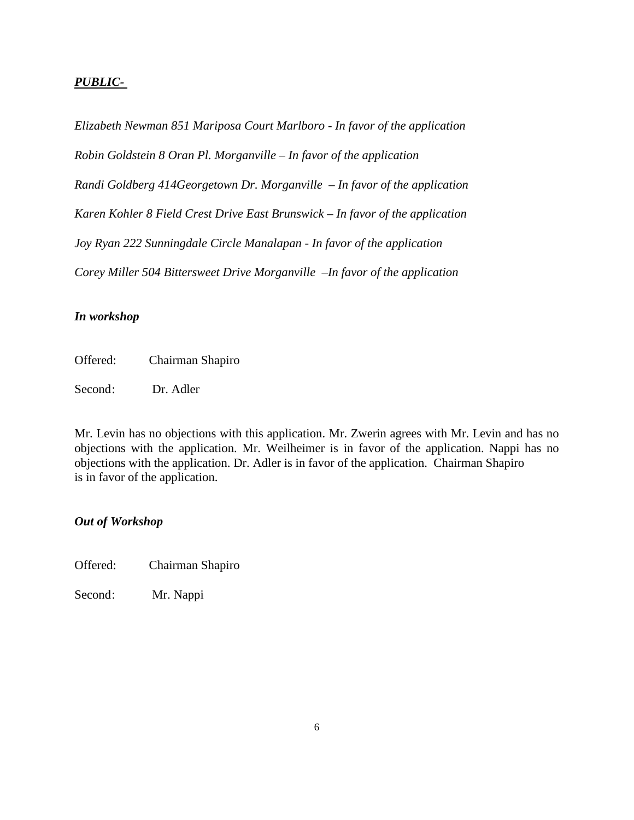## *PUBLIC-*

*Elizabeth Newman 851 Mariposa Court Marlboro - In favor of the application Robin Goldstein 8 Oran Pl. Morganville – In favor of the application Randi Goldberg 414Georgetown Dr. Morganville – In favor of the application Karen Kohler 8 Field Crest Drive East Brunswick – In favor of the application Joy Ryan 222 Sunningdale Circle Manalapan - In favor of the application Corey Miller 504 Bittersweet Drive Morganville –In favor of the application*

## *In workshop*

Offered: Chairman Shapiro

Second: Dr. Adler

Mr. Levin has no objections with this application. Mr. Zwerin agrees with Mr. Levin and has no objections with the application. Mr. Weilheimer is in favor of the application. Nappi has no objections with the application. Dr. Adler is in favor of the application. Chairman Shapiro is in favor of the application.

### *Out of Workshop*

Offered: Chairman Shapiro

Second: Mr. Nappi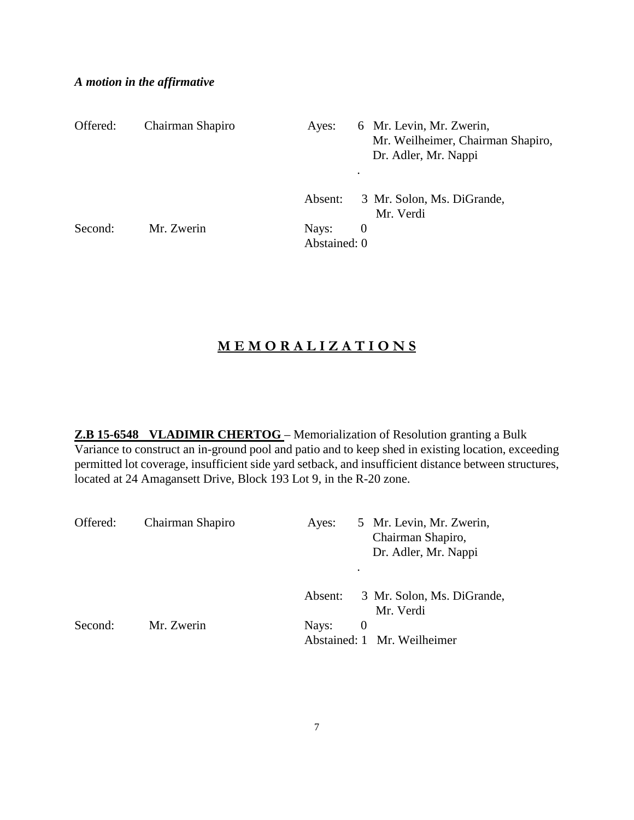## *A motion in the affirmative*

| Offered: | Chairman Shapiro | Ayes:                 | 6 Mr. Levin, Mr. Zwerin,<br>Mr. Weilheimer, Chairman Shapiro,<br>Dr. Adler, Mr. Nappi<br>$\bullet$ |
|----------|------------------|-----------------------|----------------------------------------------------------------------------------------------------|
|          |                  | Absent:               | 3 Mr. Solon, Ms. DiGrande,<br>Mr. Verdi                                                            |
| Second:  | Mr. Zwerin       | Nays:<br>Abstained: 0 | $\theta$                                                                                           |

# **M E M O R A L I Z A T I O N S**

**Z.B 15-6548 VLADIMIR CHERTOG** – Memorialization of Resolution granting a Bulk Variance to construct an in-ground pool and patio and to keep shed in existing location, exceeding permitted lot coverage, insufficient side yard setback, and insufficient distance between structures, located at 24 Amagansett Drive, Block 193 Lot 9, in the R-20 zone.

| Offered: | Chairman Shapiro | Ayes:   | ٠        | 5 Mr. Levin, Mr. Zwerin,<br>Chairman Shapiro,<br>Dr. Adler, Mr. Nappi |
|----------|------------------|---------|----------|-----------------------------------------------------------------------|
|          |                  | Absent: |          | 3 Mr. Solon, Ms. DiGrande,<br>Mr. Verdi                               |
| Second:  | Mr. Zwerin       | Nays:   | $\theta$ | Abstained: 1 Mr. Weilheimer                                           |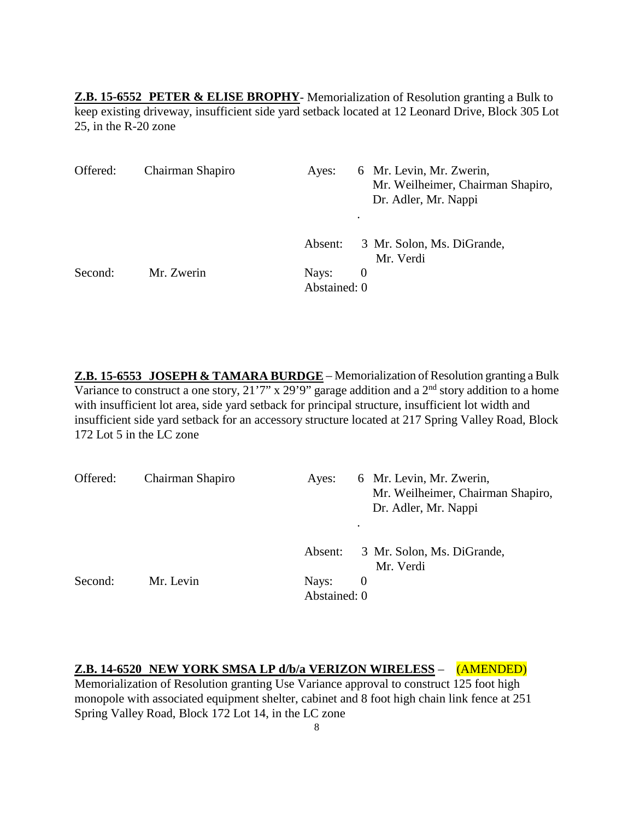**Z.B. 15-6552 PETER & ELISE BROPHY**- Memorialization of Resolution granting a Bulk to keep existing driveway, insufficient side yard setback located at 12 Leonard Drive, Block 305 Lot 25, in the R-20 zone

| Offered: | Chairman Shapiro | 6 Mr. Levin, Mr. Zwerin,<br>Ayes:<br>Mr. Weilheimer, Chairman Shapiro,<br>Dr. Adler, Mr. Nappi<br>$\bullet$ |  |
|----------|------------------|-------------------------------------------------------------------------------------------------------------|--|
|          |                  | 3 Mr. Solon, Ms. DiGrande,<br>Absent:<br>Mr. Verdi                                                          |  |
| Second:  | Mr. Zwerin       | Nays:<br>$\theta$<br>Abstained: 0                                                                           |  |

**Z.B. 15-6553 JOSEPH & TAMARA BURDGE** – Memorialization of Resolution granting a Bulk Variance to construct a one story,  $21'7''$  x  $29'9''$  garage addition and a  $2<sup>nd</sup>$  story addition to a home with insufficient lot area, side yard setback for principal structure, insufficient lot width and insufficient side yard setback for an accessory structure located at 217 Spring Valley Road, Block 172 Lot 5 in the LC zone

| Offered: | Chairman Shapiro | 6 Mr. Levin, Mr. Zwerin,<br>Ayes:<br>Mr. Weilheimer, Chairman Shapiro,<br>Dr. Adler, Mr. Nappi<br>٠ |
|----------|------------------|-----------------------------------------------------------------------------------------------------|
|          |                  | 3 Mr. Solon, Ms. DiGrande,<br>Absent:<br>Mr. Verdi                                                  |
| Second:  | Mr. Levin        | Nays:<br>$\theta$<br>Abstained: 0                                                                   |

**Z.B. 14-6520 NEW YORK SMSA LP d/b/a VERIZON WIRELESS** – (AMENDED) Memorialization of Resolution granting Use Variance approval to construct 125 foot high monopole with associated equipment shelter, cabinet and 8 foot high chain link fence at 251 Spring Valley Road, Block 172 Lot 14, in the LC zone